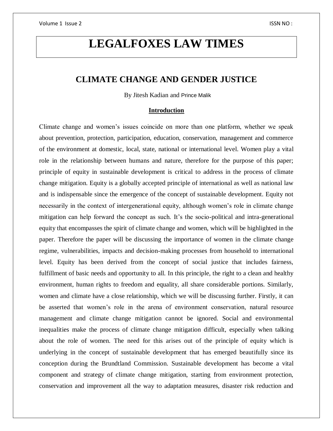# **LEGALFOXES LAW TIMES**

## **CLIMATE CHANGE AND GENDER JUSTICE**

By Jitesh Kadian and Prince Malik

## **Introduction**

Climate change and women's issues coincide on more than one platform, whether we speak about prevention, protection, participation, education, conservation, management and commerce of the environment at domestic, local, state, national or international level. Women play a vital role in the relationship between humans and nature, therefore for the purpose of this paper; principle of equity in sustainable development is critical to address in the process of climate change mitigation. Equity is a globally accepted principle of international as well as national law and is indispensable since the emergence of the concept of sustainable development. Equity not necessarily in the context of intergenerational equity, although women's role in climate change mitigation can help forward the concept as such. It's the socio-political and intra-generational equity that encompasses the spirit of climate change and women, which will be highlighted in the paper. Therefore the paper will be discussing the importance of women in the climate change regime, vulnerabilities, impacts and decision-making processes from household to international level. Equity has been derived from the concept of social justice that includes fairness, fulfillment of basic needs and opportunity to all. In this principle, the right to a clean and healthy environment, human rights to freedom and equality, all share considerable portions. Similarly, women and climate have a close relationship, which we will be discussing further. Firstly, it can be asserted that women's role in the arena of environment conservation, natural resource management and climate change mitigation cannot be ignored. Social and environmental inequalities make the process of climate change mitigation difficult, especially when talking about the role of women. The need for this arises out of the principle of equity which is underlying in the concept of sustainable development that has emerged beautifully since its conception during the Brundtland Commission. Sustainable development has become a vital component and strategy of climate change mitigation, starting from environment protection, conservation and improvement all the way to adaptation measures, disaster risk reduction and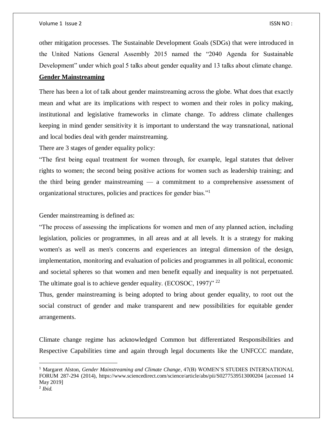other mitigation processes. The Sustainable Development Goals (SDGs) that were introduced in the United Nations General Assembly 2015 named the "2040 Agenda for Sustainable Development" under which goal 5 talks about gender equality and 13 talks about climate change.

## **Gender Mainstreaming**

There has been a lot of talk about gender mainstreaming across the globe. What does that exactly mean and what are its implications with respect to women and their roles in policy making, institutional and legislative frameworks in climate change. To address climate challenges keeping in mind gender sensitivity it is important to understand the way transnational, national and local bodies deal with gender mainstreaming.

There are 3 stages of gender equality policy:

"The first being equal treatment for women through, for example, legal statutes that deliver rights to women; the second being positive actions for women such as leadership training; and the third being gender mainstreaming — a commitment to a comprehensive assessment of organizational structures, policies and practices for gender bias."<sup>1</sup>

Gender mainstreaming is defined as:

"The process of assessing the implications for women and men of any planned action, including legislation, policies or programmes, in all areas and at all levels. It is a strategy for making women's as well as men's concerns and experiences an integral dimension of the design, implementation, monitoring and evaluation of policies and programmes in all political, economic and societal spheres so that women and men benefit equally and inequality is not perpetuated. The ultimate goal is to achieve gender equality. (ECOSOC, 1997)" <sup>22</sup>

Thus, gender mainstreaming is being adopted to bring about gender equality, to root out the social construct of gender and make transparent and new possibilities for equitable gender arrangements.

Climate change regime has acknowledged Common but differentiated Responsibilities and Respective Capabilities time and again through legal documents like the UNFCCC mandate,

 $\overline{a}$ 

<sup>1</sup> Margaret Alston, *Gender Mainstreaming and Climate Change*, 47(B) WOMEN'S STUDIES INTERNATIONAL FORUM 287-294 (2014), https://www.sciencedirect.com/science/article/abs/pii/S0277539513000204 [accessed 14 May 2019]

<sup>2</sup> *Ibid.*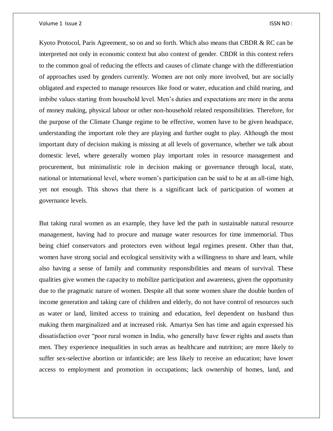Kyoto Protocol, Paris Agreement, so on and so forth. Which also means that CBDR & RC can be interpreted not only in economic context but also context of gender. CBDR in this context refers to the common goal of reducing the effects and causes of climate change with the differentiation of approaches used by genders currently. Women are not only more involved, but are socially obligated and expected to manage resources like food or water, education and child rearing, and imbibe values starting from household level. Men's duties and expectations are more in the arena of money making, physical labour or other non-household related responsibilities. Therefore, for the purpose of the Climate Change regime to be effective, women have to be given headspace, understanding the important role they are playing and further ought to play. Although the most important duty of decision making is missing at all levels of governance, whether we talk about domestic level, where generally women play important roles in resource management and procurement, but minimalistic role in decision making or governance through local, state, national or international level, where women's participation can be said to be at an all-time high, yet not enough. This shows that there is a significant lack of participation of women at governance levels.

But taking rural women as an example, they have led the path in sustainable natural resource management, having had to procure and manage water resources for time immemorial. Thus being chief conservators and protectors even without legal regimes present. Other than that, women have strong social and ecological sensitivity with a willingness to share and learn, while also having a sense of family and community responsibilities and means of survival. These qualities give women the capacity to mobilize participation and awareness, given the opportunity due to the pragmatic nature of women. Despite all that some women share the double burden of income generation and taking care of children and elderly, do not have control of resources such as water or land, limited access to training and education, feel dependent on husband thus making them marginalized and at increased risk. Amartya Sen has time and again expressed his dissatisfaction over "poor rural women in India, who generally have fewer rights and assets than men. They experience inequalities in such areas as healthcare and nutrition; are more likely to suffer sex-selective abortion or infanticide; are less likely to receive an education; have lower access to employment and promotion in occupations; lack ownership of homes, land, and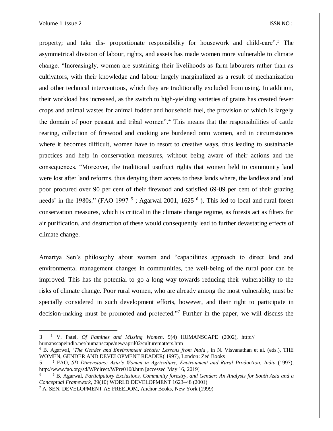$\overline{\phantom{a}}$ 

property; and take dis- proportionate responsibility for housework and child-care".<sup>3</sup> The asymmetrical division of labour, rights, and assets has made women more vulnerable to climate change. "Increasingly, women are sustaining their livelihoods as farm labourers rather than as cultivators, with their knowledge and labour largely marginalized as a result of mechanization and other technical interventions, which they are traditionally excluded from using. In addition, their workload has increased, as the switch to high-yielding varieties of grains has created fewer crops and animal wastes for animal fodder and household fuel, the provision of which is largely the domain of poor peasant and tribal women".<sup>4</sup> This means that the responsibilities of cattle rearing, collection of firewood and cooking are burdened onto women, and in circumstances where it becomes difficult, women have to resort to creative ways, thus leading to sustainable practices and help in conservation measures, without being aware of their actions and the consequences. "Moreover, the traditional usufruct rights that women held to community land were lost after land reforms, thus denying them access to these lands where, the landless and land poor procured over 90 per cent of their firewood and satisfied 69-89 per cent of their grazing needs' in the 1980s." (FAO 1997<sup>5</sup>; Agarwal 2001, 1625<sup>6</sup>). This led to local and rural forest conservation measures, which is critical in the climate change regime, as forests act as filters for air purification, and destruction of these would consequently lead to further devastating effects of climate change.

Amartya Sen's philosophy about women and "capabilities approach to direct land and environmental management changes in communities, the well-being of the rural poor can be improved. This has the potential to go a long way towards reducing their vulnerability to the risks of climate change. Poor rural women, who are already among the most vulnerable, must be specially considered in such development efforts, however, and their right to participate in decision-making must be promoted and protected."<sup>7</sup> Further in the paper, we will discuss the

<sup>3</sup> <sup>3</sup> V. Patel, *Of Famines and Missing Women*, 9(4) HUMANSCAPE (2002), http:// humanscapeindia.net/humanscape/new/april02/culturematters.htm

<sup>4</sup> B. Agarwal, '*The Gender and Environment debate: Lessons from India'*, in N. Visvanathan et al. (eds.), THE WOMEN, GENDER AND DEVELOPMENT READER( 1997), London: Zed Books

<sup>5</sup> <sup>5</sup> FAO, *SD Dimensions: Asia's Women in Agriculture, Environment and Rural Production: India* (1997), http://www.fao.org/sd/WPdirect/WPre0108.htm [accessed May 16, 2019]

<sup>6</sup> <sup>6</sup> B. Agarwal, *Participatory Exclusions, Community forestry, and Gender: An Analysis for South Asia and a Conceptual Framework*, 29(10) WORLD DEVELOPMENT 1623–48 (2001)

<sup>7</sup> A. SEN, DEVELOPMENT AS FREEDOM, Anchor Books, New York (1999)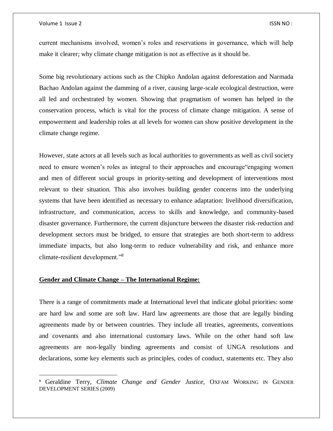$\overline{a}$ 

current mechanisms involved, women's roles and reservations in governance, which will help make it clearer; why climate change mitigation is not as effective as it should be.

Some big revolutionary actions such as the Chipko Andolan against deforestation and Narmada Bachao Andolan against the damming of a river, causing large-scale ecological destruction, were all led and orchestrated by women. Showing that pragmatism of women has helped in the conservation process, which is vital for the process of climate change mitigation. A sense of empowerment and leadership roles at all levels for women can show positive development in the climate change regime.

However, state actors at all levels such as local authorities to governments as well as civil society need to ensure women's roles as integral to their approaches and encourage"engaging women and men of different social groups in priority-setting and development of interventions most relevant to their situation. This also involves building gender concerns into the underlying systems that have been identified as necessary to enhance adaptation: livelihood diversification, infrastructure, and communication, access to skills and knowledge, and community-based disaster governance. Furthermore, the current disjuncture between the disaster risk-reduction and development sectors must be bridged, to ensure that strategies are both short-term to address immediate impacts, but also long-term to reduce vulnerability and risk, and enhance more climate-resilient development."<sup>8</sup>

## **Gender and Climate Change – The International Regime:**

There is a range of commitments made at International level that indicate global priorities: some are hard law and some are soft law. Hard law agreements are those that are legally binding agreements made by or between countries. They include all treaties, agreements, conventions and covenants and also international customary laws. While on the other hand soft law agreements are non-legally binding agreements and consist of UNGA resolutions and declarations, some key elements such as principles, codes of conduct, statements etc. They also

<sup>8</sup> Geraldine Terry, *Climate Change and Gender Justice,* OXFAM WORKING IN GENDER DEVELOPMENT SERIES (2009)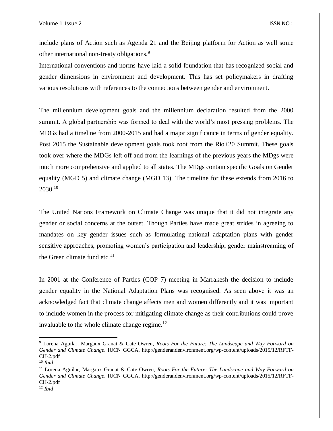include plans of Action such as Agenda 21 and the Beijing platform for Action as well some other international non-treaty obligations.<sup>9</sup>

International conventions and norms have laid a solid foundation that has recognized social and gender dimensions in environment and development. This has set policymakers in drafting various resolutions with references to the connections between gender and environment.

The millennium development goals and the millennium declaration resulted from the 2000 summit. A global partnership was formed to deal with the world's most pressing problems. The MDGs had a timeline from 2000-2015 and had a major significance in terms of gender equality. Post 2015 the Sustainable development goals took root from the Rio+20 Summit. These goals took over where the MDGs left off and from the learnings of the previous years the MDgs were much more comprehensive and applied to all states. The MDgs contain specific Goals on Gender equality (MGD 5) and climate change (MGD 13). The timeline for these extends from 2016 to  $2030.<sup>10</sup>$ 

The United Nations Framework on Climate Change was unique that it did not integrate any gender or social concerns at the outset. Though Parties have made great strides in agreeing to mandates on key gender issues such as formulating national adaptation plans with gender sensitive approaches, promoting women's participation and leadership, gender mainstreaming of the Green climate fund etc. $^{11}$ 

In 2001 at the Conference of Parties (COP 7) meeting in Marrakesh the decision to include gender equality in the National Adaptation Plans was recognised. As seen above it was an acknowledged fact that climate change affects men and women differently and it was important to include women in the process for mitigating climate change as their contributions could prove invaluable to the whole climate change regime. $^{12}$ 

 $\overline{a}$ 

<sup>9</sup> Lorena Aguilar, Margaux Granat & Cate Owren, *Roots For the Future: The Landscape and Way Forward on Gender and Climate Change*. IUCN GGCA, http://genderandenvironment.org/wp-content/uploads/2015/12/RFTF-CH-2.pdf

<sup>10</sup> *Ibid*

<sup>11</sup> Lorena Aguilar, Margaux Granat & Cate Owren, *Roots For the Future: The Landscape and Way Forward on Gender and Climate Change*. IUCN GGCA, http://genderandenvironment.org/wp-content/uploads/2015/12/RFTF-CH-2.pdf

<sup>12</sup> *Ibid*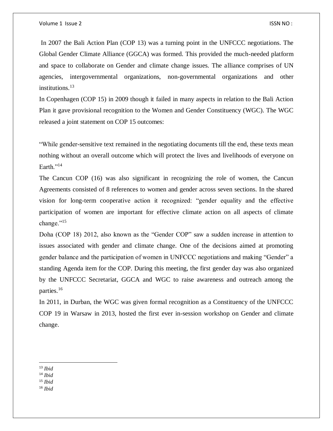In 2007 the Bali Action Plan (COP 13) was a turning point in the UNFCCC negotiations. The Global Gender Climate Alliance (GGCA) was formed. This provided the much-needed platform and space to collaborate on Gender and climate change issues. The alliance comprises of UN agencies, intergovernmental organizations, non-governmental organizations and other institutions. $13$ 

In Copenhagen (COP 15) in 2009 though it failed in many aspects in relation to the Bali Action Plan it gave provisional recognition to the Women and Gender Constituency (WGC). The WGC released a joint statement on COP 15 outcomes:

"While gender-sensitive text remained in the negotiating documents till the end, these texts mean nothing without an overall outcome which will protect the lives and livelihoods of everyone on Earth."<sup>14</sup>

The Cancun COP (16) was also significant in recognizing the role of women, the Cancun Agreements consisted of 8 references to women and gender across seven sections. In the shared vision for long-term cooperative action it recognized: "gender equality and the effective participation of women are important for effective climate action on all aspects of climate change."<sup>15</sup>

Doha (COP 18) 2012, also known as the "Gender COP" saw a sudden increase in attention to issues associated with gender and climate change. One of the decisions aimed at promoting gender balance and the participation of women in UNFCCC negotiations and making "Gender" a standing Agenda item for the COP. During this meeting, the first gender day was also organized by the UNFCCC Secretariat, GGCA and WGC to raise awareness and outreach among the parties.<sup>16</sup>

In 2011, in Durban, the WGC was given formal recognition as a Constituency of the UNFCCC COP 19 in Warsaw in 2013, hosted the first ever in-session workshop on Gender and climate change.

- <sup>15</sup> *Ibid*
- <sup>16</sup> *Ibid*

 $\overline{a}$ <sup>13</sup> *Ibid*

<sup>14</sup> *Ibid*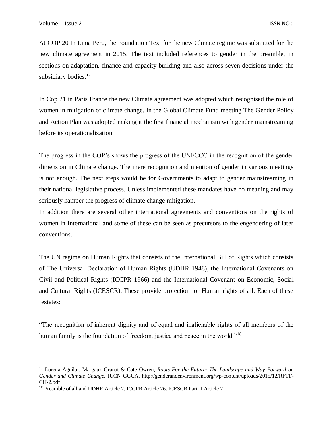$\overline{a}$ 

At COP 20 In Lima Peru, the Foundation Text for the new Climate regime was submitted for the new climate agreement in 2015. The text included references to gender in the preamble, in sections on adaptation, finance and capacity building and also across seven decisions under the subsidiary bodies.<sup>17</sup>

In Cop 21 in Paris France the new Climate agreement was adopted which recognised the role of women in mitigation of climate change. In the Global Climate Fund meeting The Gender Policy and Action Plan was adopted making it the first financial mechanism with gender mainstreaming before its operationalization.

The progress in the COP's shows the progress of the UNFCCC in the recognition of the gender dimension in Climate change. The mere recognition and mention of gender in various meetings is not enough. The next steps would be for Governments to adapt to gender mainstreaming in their national legislative process. Unless implemented these mandates have no meaning and may seriously hamper the progress of climate change mitigation.

In addition there are several other international agreements and conventions on the rights of women in International and some of these can be seen as precursors to the engendering of later conventions.

The UN regime on Human Rights that consists of the International Bill of Rights which consists of The Universal Declaration of Human Rights (UDHR 1948), the International Covenants on Civil and Political Rights (ICCPR 1966) and the International Covenant on Economic, Social and Cultural Rights (ICESCR). These provide protection for Human rights of all. Each of these restates:

"The recognition of inherent dignity and of equal and inalienable rights of all members of the human family is the foundation of freedom, justice and peace in the world."<sup>18</sup>

<sup>17</sup> Lorena Aguilar, Margaux Granat & Cate Owren, *Roots For the Future: The Landscape and Way Forward on Gender and Climate Change*. IUCN GGCA, http://genderandenvironment.org/wp-content/uploads/2015/12/RFTF-CH-2.pdf

<sup>18</sup> Preamble of all and UDHR Article 2, ICCPR Article 26, ICESCR Part II Article 2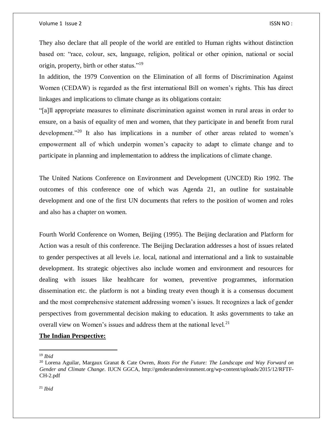They also declare that all people of the world are entitled to Human rights without distinction based on: "race, colour, sex, language, religion, political or other opinion, national or social origin, property, birth or other status."<sup>19</sup>

In addition, the 1979 Convention on the Elimination of all forms of Discrimination Against Women (CEDAW) is regarded as the first international Bill on women's rights. This has direct linkages and implications to climate change as its obligations contain:

"[a]ll appropriate measures to eliminate discrimination against women in rural areas in order to ensure, on a basis of equality of men and women, that they participate in and benefit from rural development."<sup>20</sup> It also has implications in a number of other areas related to women's empowerment all of which underpin women's capacity to adapt to climate change and to participate in planning and implementation to address the implications of climate change.

The United Nations Conference on Environment and Development (UNCED) Rio 1992. The outcomes of this conference one of which was Agenda 21, an outline for sustainable development and one of the first UN documents that refers to the position of women and roles and also has a chapter on women.

Fourth World Conference on Women, Beijing (1995). The Beijing declaration and Platform for Action was a result of this conference. The Beijing Declaration addresses a host of issues related to gender perspectives at all levels i.e. local, national and international and a link to sustainable development. Its strategic objectives also include women and environment and resources for dealing with issues like healthcare for women, preventive programmes, information dissemination etc. the platform is not a binding treaty even though it is a consensus document and the most comprehensive statement addressing women's issues. It recognizes a lack of gender perspectives from governmental decision making to education. It asks governments to take an overall view on Women's issues and address them at the national level.<sup>21</sup>

## **The Indian Perspective:**

<sup>19</sup> *Ibid*

 $\overline{\phantom{a}}$ 

<sup>20</sup> Lorena Aguilar, Margaux Granat & Cate Owren, *Roots For the Future: The Landscape and Way Forward on Gender and Climate Change*. IUCN GGCA, http://genderandenvironment.org/wp-content/uploads/2015/12/RFTF-CH-2.pdf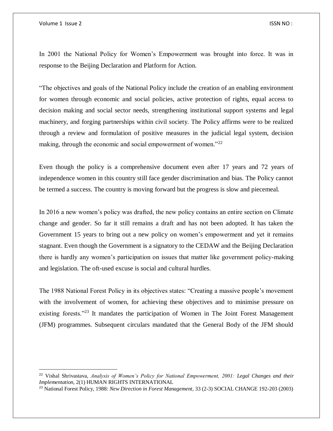$\overline{a}$ 

In 2001 the National Policy for Women's Empowerment was brought into force. It was in response to the Beijing Declaration and Platform for Action.

"The objectives and goals of the National Policy include the creation of an enabling environment for women through economic and social policies, active protection of rights, equal access to decision making and social sector needs, strengthening institutional support systems and legal machinery, and forging partnerships within civil society. The Policy affirms were to be realized through a review and formulation of positive measures in the judicial legal system, decision making, through the economic and social empowerment of women."<sup>22</sup>

Even though the policy is a comprehensive document even after 17 years and 72 years of independence women in this country still face gender discrimination and bias. The Policy cannot be termed a success. The country is moving forward but the progress is slow and piecemeal.

In 2016 a new women's policy was drafted, the new policy contains an entire section on Climate change and gender. So far it still remains a draft and has not been adopted. It has taken the Government 15 years to bring out a new policy on women's empowerment and yet it remains stagnant. Even though the Government is a signatory to the CEDAW and the Beijing Declaration there is hardly any women's participation on issues that matter like government policy-making and legislation. The oft-used excuse is social and cultural hurdles.

The 1988 National Forest Policy in its objectives states: "Creating a massive people's movement with the involvement of women, for achieving these objectives and to minimise pressure on existing forests."<sup>23</sup> It mandates the participation of Women in The Joint Forest Management (JFM) programmes. Subsequent circulars mandated that the General Body of the JFM should

<sup>22</sup> Vishal Shrivastava, *Analysis of Women's Policy for National Empowerment, 2001: Legal Changes and their Implementation,* 2(1) HUMAN RIGHTS INTERNATIONAL

<sup>23</sup> National Forest Policy, 1988: *New Direction in Forest Management*, 33 (2-3) SOCIAL CHANGE 192-203 (2003)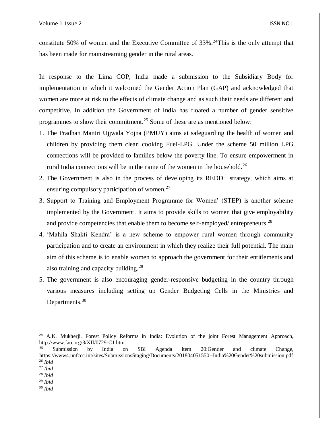constitute 50% of women and the Executive Committee of  $33\%$ .<sup>24</sup>This is the only attempt that has been made for mainstreaming gender in the rural areas.

In response to the Lima COP, India made a submission to the Subsidiary Body for implementation in which it welcomed the Gender Action Plan (GAP) and acknowledged that women are more at risk to the effects of climate change and as such their needs are different and competitive. In addition the Government of India has floated a number of gender sensitive programmes to show their commitment.<sup>25</sup> Some of these are as mentioned below:

- 1. The Pradhan Mantri Ujjwala Yojna (PMUY) aims at safeguarding the health of women and children by providing them clean cooking Fuel-LPG. Under the scheme 50 million LPG connections will be provided to families below the poverty line. To ensure empowerment in rural India connections will be in the name of the women in the household.<sup>26</sup>
- 2. The Government is also in the process of developing its REDD+ strategy, which aims at ensuring compulsory participation of women. $27$
- 3. Support to Training and Employment Programme for Women' (STEP) is another scheme implemented by the Government. It aims to provide skills to women that give employability and provide competencies that enable them to become self-employed/ entrepreneurs.<sup>28</sup>
- 4. 'Mahila Shakti Kendra' is a new scheme to empower rural women through community participation and to create an environment in which they realize their full potential. The main aim of this scheme is to enable women to approach the government for their entitlements and also training and capacity building.<sup>29</sup>
- 5. The government is also encouraging gender-responsive budgeting in the country through various measures including setting up Gender Budgeting Cells in the Ministries and Departments.<sup>30</sup>

 $\overline{\phantom{a}}$ 

<sup>&</sup>lt;sup>24</sup> A.K. Mukherji, Forest Policy Reforms in India: Evolution of the joint Forest Management Approach, http://www.fao.org/3/XII/0729-C1.htm

<sup>&</sup>lt;sup>25</sup> Submission by India on SBI Agenda item 20:Gender and climate Change, https://www4.unfccc.int/sites/SubmissionsStaging/Documents/201804051550--India%20Gender%20submission.pdf <sup>26</sup> *Ibid*

<sup>27</sup> *Ibid*

<sup>28</sup> *Ibid*

<sup>29</sup> *Ibid*

<sup>30</sup> *Ibid*